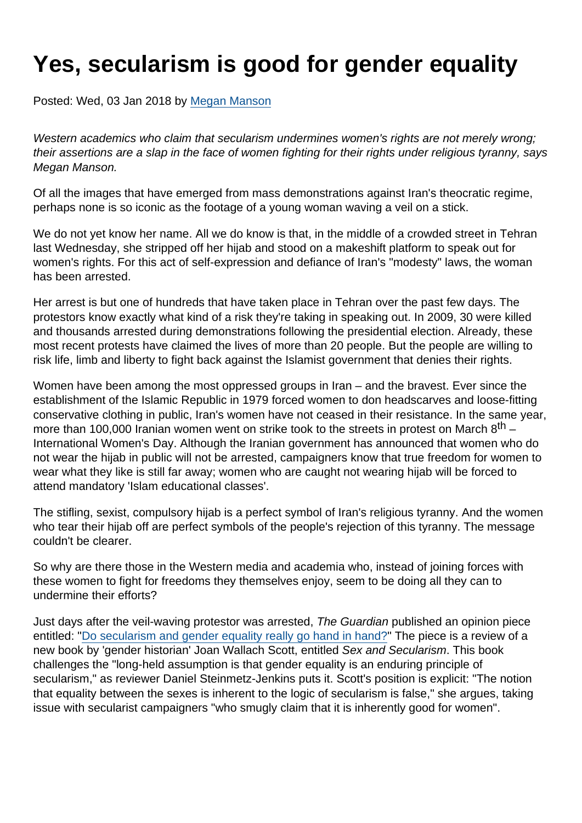## Yes, secularism is good for gender equality

Posted: Wed, 03 Jan 2018 by [Megan Manson](https://www.secularism.org.uk/opinion/authors/971)

Western academics who claim that secularism undermines women's rights are not merely wrong; their assertions are a slap in the face of women fighting for their rights under religious tyranny, says Megan Manson.

Of all the images that have emerged from mass demonstrations against Iran's theocratic regime, perhaps none is so iconic as the footage of a young woman waving a veil on a stick.

We do not yet know her name. All we do know is that, in the middle of a crowded street in Tehran last Wednesday, she stripped off her hijab and stood on a makeshift platform to speak out for women's rights. For this act of self-expression and defiance of Iran's "modesty" laws, the woman has been arrested.

Her arrest is but one of hundreds that have taken place in Tehran over the past few days. The protestors know exactly what kind of a risk they're taking in speaking out. In 2009, 30 were killed and thousands arrested during demonstrations following the presidential election. Already, these most recent protests have claimed the lives of more than 20 people. But the people are willing to risk life, limb and liberty to fight back against the Islamist government that denies their rights.

Women have been among the most oppressed groups in Iran – and the bravest. Ever since the establishment of the Islamic Republic in 1979 forced women to don headscarves and loose-fitting conservative clothing in public, Iran's women have not ceased in their resistance. In the same year, more than 100,000 Iranian women went on strike took to the streets in protest on March  $8<sup>th</sup>$  – International Women's Day. Although the Iranian government has announced that women who do not wear the hijab in public will not be arrested, campaigners know that true freedom for women to wear what they like is still far away; women who are caught not wearing hijab will be forced to attend mandatory 'Islam educational classes'.

The stifling, sexist, compulsory hijab is a perfect symbol of Iran's religious tyranny. And the women who tear their hijab off are perfect symbols of the people's rejection of this tyranny. The message couldn't be clearer.

So why are there those in the Western media and academia who, instead of joining forces with these women to fight for freedoms they themselves enjoy, seem to be doing all they can to undermine their efforts?

Just days after the veil-waving protestor was arrested, The Guardian published an opinion piece entitled: "[Do secularism and gender equality really go hand in hand?](https://amp.theguardian.com/commentisfree/2017/dec/30/secularism-gender-equality-joan-wallach-scott)" The piece is a review of a new book by 'gender historian' Joan Wallach Scott, entitled Sex and Secularism. This book challenges the "long-held assumption is that gender equality is an enduring principle of secularism," as reviewer Daniel Steinmetz-Jenkins puts it. Scott's position is explicit: "The notion that equality between the sexes is inherent to the logic of secularism is false," she argues, taking issue with secularist campaigners "who smugly claim that it is inherently good for women".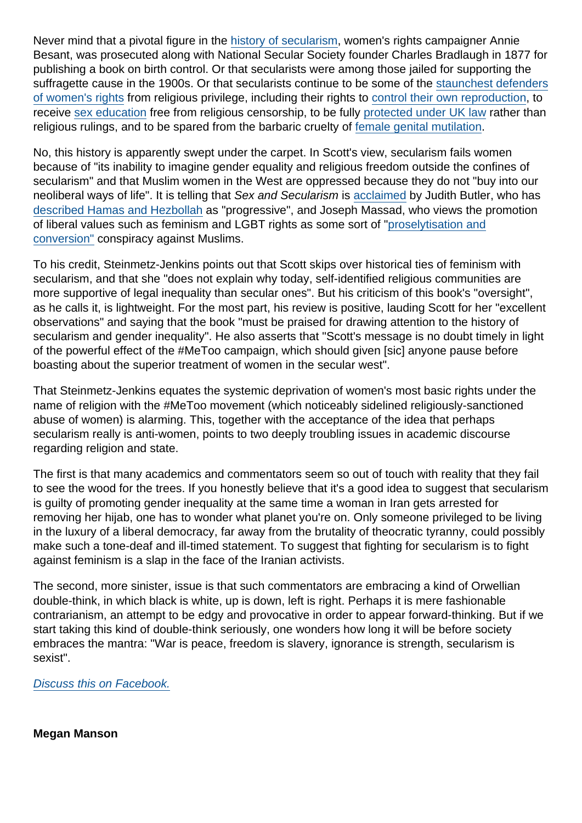Never mind that a pivotal figure in the [history of secularism](https://www.secularism.org.uk/history.html), women's rights campaigner Annie Besant, was prosecuted along with National Secular Society founder Charles Bradlaugh in 1877 for publishing a book on birth control. Or that secularists were among those jailed for supporting the suffragette cause in the 1900s. Or that secularists continue to be some of the [staunchest defenders](https://www.secularism.org.uk/opinion/2017/03/the-human-rights-of-women-and-secularism-go-hand-in-hand) [of women's rights](https://www.secularism.org.uk/opinion/2017/03/the-human-rights-of-women-and-secularism-go-hand-in-hand) from religious privilege, including their rights to [control their own reproduction](https://www.secularism.org.uk/reproductive-rights/), to receive [sex education](https://www.secularism.org.uk/sex-education/) free from religious censorship, to be fully [protected under UK law](https://www.secularism.org.uk/one-law-for-all/) rather than religious rulings, and to be spared from the barbaric cruelty of [female genital mutilation.](https://www.secularism.org.uk/religious-surgery/)

No, this history is apparently swept under the carpet. In Scott's view, secularism fails women because of "its inability to imagine gender equality and religious freedom outside the confines of secularism" and that Muslim women in the West are oppressed because they do not "buy into our neoliberal ways of life". It is telling that Sex and Secularism is [acclaimed](https://www.amazon.co.uk/Secularism-Public-Square-Wallach-Scott/dp/0691160643/) by Judith Butler, who has [described Hamas and Hezbollah](https://radicalarchives.org/2010/03/28/jbutler-on-hamas-hezbollah-israel-lobby/) as "progressive", and Joseph Massad, who views the promotion of liberal values such as feminism and LGBT rights as some sort of ["proselytisation and](https://www.amazon.co.uk/Islam-Liberalism-Joseph-Massad/dp/022637954X) [conversion"](https://www.amazon.co.uk/Islam-Liberalism-Joseph-Massad/dp/022637954X) conspiracy against Muslims.

To his credit, Steinmetz-Jenkins points out that Scott skips over historical ties of feminism with secularism, and that she "does not explain why today, self-identified religious communities are more supportive of legal inequality than secular ones". But his criticism of this book's "oversight", as he calls it, is lightweight. For the most part, his review is positive, lauding Scott for her "excellent observations" and saying that the book "must be praised for drawing attention to the history of secularism and gender inequality". He also asserts that "Scott's message is no doubt timely in light of the powerful effect of the #MeToo campaign, which should given [sic] anyone pause before boasting about the superior treatment of women in the secular west".

That Steinmetz-Jenkins equates the systemic deprivation of women's most basic rights under the name of religion with the #MeToo movement (which noticeably sidelined religiously-sanctioned abuse of women) is alarming. This, together with the acceptance of the idea that perhaps secularism really is anti-women, points to two deeply troubling issues in academic discourse regarding religion and state.

The first is that many academics and commentators seem so out of touch with reality that they fail to see the wood for the trees. If you honestly believe that it's a good idea to suggest that secularism is guilty of promoting gender inequality at the same time a woman in Iran gets arrested for removing her hijab, one has to wonder what planet you're on. Only someone privileged to be living in the luxury of a liberal democracy, far away from the brutality of theocratic tyranny, could possibly make such a tone-deaf and ill-timed statement. To suggest that fighting for secularism is to fight against feminism is a slap in the face of the Iranian activists.

The second, more sinister, issue is that such commentators are embracing a kind of Orwellian double-think, in which black is white, up is down, left is right. Perhaps it is mere fashionable contrarianism, an attempt to be edgy and provocative in order to appear forward-thinking. But if we start taking this kind of double-think seriously, one wonders how long it will be before society embraces the mantra: "War is peace, freedom is slavery, ignorance is strength, secularism is sexist".

[Discuss this on Facebook.](https://www.facebook.com/NationalSecularSociety/posts/1600478023353876)

Megan Manson